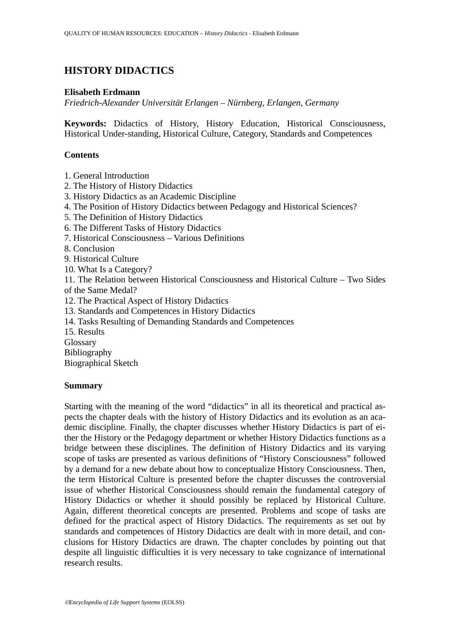# **HISTORY DIDACTICS**

### **Elisabeth Erdmann**

*Friedrich-Alexander Universität Erlangen – Nürnberg, Erlangen, Germany* 

**Keywords:** Didactics of History, History Education, Historical Consciousness, Historical Under-standing, Historical Culture, Category, Standards and Competences

### **Contents**

1. General Introduction

- 2. The History of History Didactics
- 3. History Didactics as an Academic Discipline
- 4. The Position of History Didactics between Pedagogy and Historical Sciences?
- 5. The Definition of History Didactics
- 6. The Different Tasks of History Didactics
- 7. Historical Consciousness Various Definitions
- 8. Conclusion
- 9. Historical Culture
- 10. What Is a Category?

11. The Relation between Historical Consciousness and Historical Culture – Two Sides of the Same Medal?

- 12. The Practical Aspect of History Didactics
- 13. Standards and Competences in History Didactics
- 14. Tasks Resulting of Demanding Standards and Competences

15. Results

**Glossary** 

Bibliography

Biographical Sketch

#### **Summary**

Starting with the meaning of the word "didactics" in all its theoretical and practical aspects the chapter deals with the history of History Didactics and its evolution as an academic discipline. Finally, the chapter discusses whether History Didactics is part of either the History or the Pedagogy department or whether History Didactics functions as a bridge between these disciplines. The definition of History Didactics and its varying scope of tasks are presented as various definitions of "History Consciousness" followed by a demand for a new debate about how to conceptualize History Consciousness. Then, the term Historical Culture is presented before the chapter discusses the controversial issue of whether Historical Consciousness should remain the fundamental category of History Didactics or whether it should possibly be replaced by Historical Culture. Again, different theoretical concepts are presented. Problems and scope of tasks are defined for the practical aspect of History Didactics. The requirements as set out by standards and competences of History Didactics are dealt with in more detail, and conclusions for History Didactics are drawn. The chapter concludes by pointing out that despite all linguistic difficulties it is very necessary to take cognizance of international research results.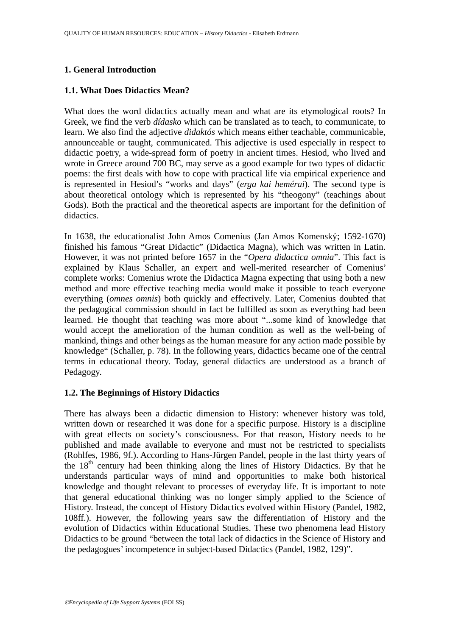## **1. General Introduction**

### **1.1. What Does Didactics Mean?**

What does the word didactics actually mean and what are its etymological roots? In Greek, we find the verb *dídasko* which can be translated as to teach, to communicate, to learn. We also find the adjective *didaktós* which means either teachable, communicable, announceable or taught, communicated. This adjective is used especially in respect to didactic poetry, a wide-spread form of poetry in ancient times. Hesiod, who lived and wrote in Greece around 700 BC, may serve as a good example for two types of didactic poems: the first deals with how to cope with practical life via empirical experience and is represented in Hesiod's "works and days" (*erga kai hemérai*). The second type is about theoretical ontology which is represented by his "theogony" (teachings about Gods). Both the practical and the theoretical aspects are important for the definition of didactics.

In 1638, the educationalist John Amos Comenius (Jan Amos Komenský; 1592-1670) finished his famous "Great Didactic" (Didactica Magna), which was written in Latin. However, it was not printed before 1657 in the "*Opera didactica omnia*". This fact is explained by Klaus Schaller, an expert and well-merited researcher of Comenius' complete works: Comenius wrote the Didactica Magna expecting that using both a new method and more effective teaching media would make it possible to teach everyone everything (*omnes omnis*) both quickly and effectively. Later, Comenius doubted that the pedagogical commission should in fact be fulfilled as soon as everything had been learned. He thought that teaching was more about "...some kind of knowledge that would accept the amelioration of the human condition as well as the well-being of mankind, things and other beings as the human measure for any action made possible by knowledge" (Schaller, p. 78). In the following years, didactics became one of the central terms in educational theory. Today, general didactics are understood as a branch of Pedagogy.

## **1.2. The Beginnings of History Didactics**

There has always been a didactic dimension to History: whenever history was told, written down or researched it was done for a specific purpose. History is a discipline with great effects on society's consciousness. For that reason, History needs to be published and made available to everyone and must not be restricted to specialists (Rohlfes, 1986, 9f.). According to Hans-Jürgen Pandel, people in the last thirty years of the  $18<sup>th</sup>$  century had been thinking along the lines of History Didactics. By that he understands particular ways of mind and opportunities to make both historical knowledge and thought relevant to processes of everyday life. It is important to note that general educational thinking was no longer simply applied to the Science of History. Instead, the concept of History Didactics evolved within History (Pandel, 1982, 108ff.). However, the following years saw the differentiation of History and the evolution of Didactics within Educational Studies. These two phenomena lead History Didactics to be ground "between the total lack of didactics in the Science of History and the pedagogues' incompetence in subject-based Didactics (Pandel, 1982, 129)".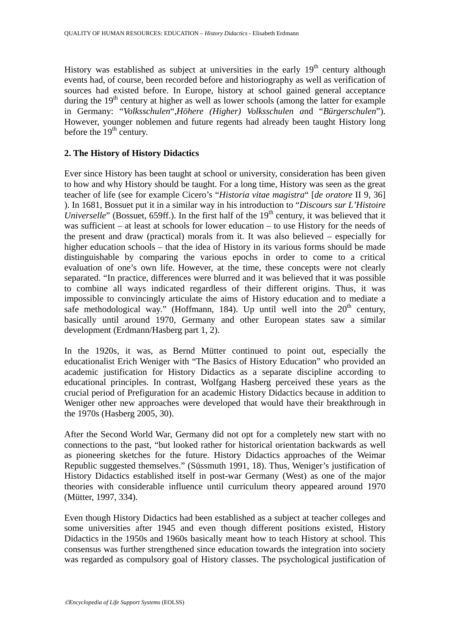History was established as subject at universities in the early  $19<sup>th</sup>$  century although events had, of course, been recorded before and historiography as well as verification of sources had existed before. In Europe, history at school gained general acceptance during the  $19<sup>th</sup>$  century at higher as well as lower schools (among the latter for example in Germany: "*Volksschulen*",*Höhere (Higher) Volksschulen a*nd "*Bürgerschulen*"). However, younger noblemen and future regents had already been taught History long before the  $19<sup>th</sup>$  century.

## **2. The History of History Didactics**

Ever since History has been taught at school or university, consideration has been given to how and why History should be taught. For a long time, History was seen as the great teacher of life (see for example Cicero's "*Historia vitae magistra*" [*de oratore* II 9, 36] ). In 1681, Bossuet put it in a similar way in his introduction to "*Discours sur L'Histoire Universelle*" (Bossuet, 659ff.). In the first half of the 19<sup>th</sup> century, it was believed that it was sufficient – at least at schools for lower education – to use History for the needs of the present and draw (practical) morals from it. It was also believed – especially for higher education schools – that the idea of History in its various forms should be made distinguishable by comparing the various epochs in order to come to a critical evaluation of one's own life. However, at the time, these concepts were not clearly separated. "In practice, differences were blurred and it was believed that it was possible to combine all ways indicated regardless of their different origins. Thus, it was impossible to convincingly articulate the aims of History education and to mediate a safe methodological way." (Hoffmann, 184). Up until well into the  $20<sup>th</sup>$  century, basically until around 1970, Germany and other European states saw a similar development (Erdmann/Hasberg part 1, 2).

In the 1920s, it was, as Bernd Mütter continued to point out, especially the educationalist Erich Weniger with "The Basics of History Education" who provided an academic justification for History Didactics as a separate discipline according to educational principles. In contrast, Wolfgang Hasberg perceived these years as the crucial period of Prefiguration for an academic History Didactics because in addition to Weniger other new approaches were developed that would have their breakthrough in the 1970s (Hasberg 2005, 30).

After the Second World War, Germany did not opt for a completely new start with no connections to the past, "but looked rather for historical orientation backwards as well as pioneering sketches for the future. History Didactics approaches of the Weimar Republic suggested themselves." (Süssmuth 1991, 18). Thus, Weniger's justification of History Didactics established itself in post-war Germany (West) as one of the major theories with considerable influence until curriculum theory appeared around 1970 (Mütter, 1997, 334).

Even though History Didactics had been established as a subject at teacher colleges and some universities after 1945 and even though different positions existed, History Didactics in the 1950s and 1960s basically meant how to teach History at school. This consensus was further strengthened since education towards the integration into society was regarded as compulsory goal of History classes. The psychological justification of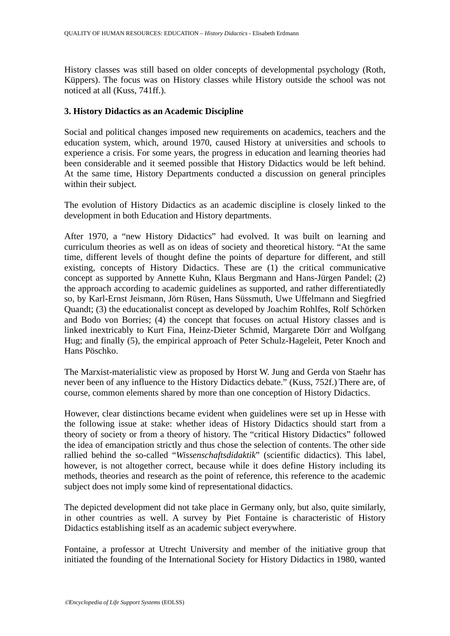History classes was still based on older concepts of developmental psychology (Roth, Küppers). The focus was on History classes while History outside the school was not noticed at all (Kuss, 741ff.).

## **3. History Didactics as an Academic Discipline**

Social and political changes imposed new requirements on academics, teachers and the education system, which, around 1970, caused History at universities and schools to experience a crisis. For some years, the progress in education and learning theories had been considerable and it seemed possible that History Didactics would be left behind. At the same time, History Departments conducted a discussion on general principles within their subject.

The evolution of History Didactics as an academic discipline is closely linked to the development in both Education and History departments.

After 1970, a "new History Didactics" had evolved. It was built on learning and curriculum theories as well as on ideas of society and theoretical history. "At the same time, different levels of thought define the points of departure for different, and still existing, concepts of History Didactics. These are (1) the critical communicative concept as supported by Annette Kuhn, Klaus Bergmann and Hans-Jürgen Pandel; (2) the approach according to academic guidelines as supported, and rather differentiatedly so, by Karl-Ernst Jeismann, Jörn Rüsen, Hans Süssmuth, Uwe Uffelmann and Siegfried Quandt; (3) the educationalist concept as developed by Joachim Rohlfes, Rolf Schörken and Bodo von Borries; (4) the concept that focuses on actual History classes and is linked inextricably to Kurt Fina, Heinz-Dieter Schmid, Margarete Dörr and Wolfgang Hug; and finally (5), the empirical approach of Peter Schulz-Hageleit, Peter Knoch and Hans Pöschko.

The Marxist-materialistic view as proposed by Horst W. Jung and Gerda von Staehr has never been of any influence to the History Didactics debate." (Kuss, 752f.) There are, of course, common elements shared by more than one conception of History Didactics.

However, clear distinctions became evident when guidelines were set up in Hesse with the following issue at stake: whether ideas of History Didactics should start from a theory of society or from a theory of history. The "critical History Didactics" followed the idea of emancipation strictly and thus chose the selection of contents. The other side rallied behind the so-called "*Wissenschaftsdidaktik*" (scientific didactics). This label, however, is not altogether correct, because while it does define History including its methods, theories and research as the point of reference, this reference to the academic subject does not imply some kind of representational didactics.

The depicted development did not take place in Germany only, but also, quite similarly, in other countries as well. A survey by Piet Fontaine is characteristic of History Didactics establishing itself as an academic subject everywhere.

Fontaine, a professor at Utrecht University and member of the initiative group that initiated the founding of the International Society for History Didactics in 1980, wanted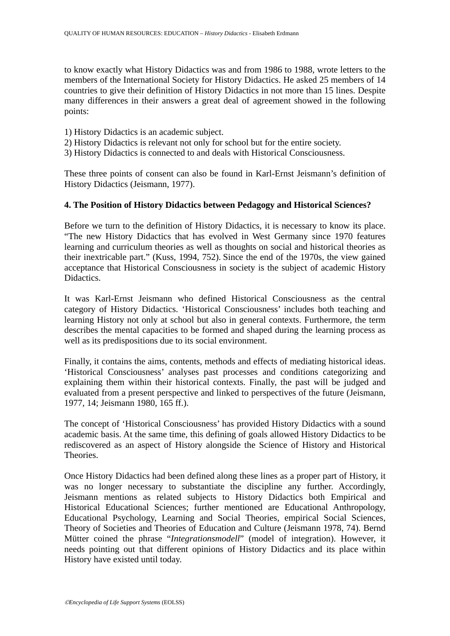to know exactly what History Didactics was and from 1986 to 1988, wrote letters to the members of the International Society for History Didactics. He asked 25 members of 14 countries to give their definition of History Didactics in not more than 15 lines. Despite many differences in their answers a great deal of agreement showed in the following points:

- 1) History Didactics is an academic subject.
- 2) History Didactics is relevant not only for school but for the entire society.
- 3) History Didactics is connected to and deals with Historical Consciousness.

These three points of consent can also be found in Karl-Ernst Jeismann's definition of History Didactics (Jeismann, 1977).

## **4. The Position of History Didactics between Pedagogy and Historical Sciences?**

Before we turn to the definition of History Didactics, it is necessary to know its place. "The new History Didactics that has evolved in West Germany since 1970 features learning and curriculum theories as well as thoughts on social and historical theories as their inextricable part." (Kuss, 1994, 752). Since the end of the 1970s, the view gained acceptance that Historical Consciousness in society is the subject of academic History Didactics.

It was Karl-Ernst Jeismann who defined Historical Consciousness as the central category of History Didactics. 'Historical Consciousness' includes both teaching and learning History not only at school but also in general contexts. Furthermore, the term describes the mental capacities to be formed and shaped during the learning process as well as its predispositions due to its social environment.

Finally, it contains the aims, contents, methods and effects of mediating historical ideas. 'Historical Consciousness' analyses past processes and conditions categorizing and explaining them within their historical contexts. Finally, the past will be judged and evaluated from a present perspective and linked to perspectives of the future (Jeismann, 1977, 14; Jeismann 1980, 165 ff.).

The concept of 'Historical Consciousness' has provided History Didactics with a sound academic basis. At the same time, this defining of goals allowed History Didactics to be rediscovered as an aspect of History alongside the Science of History and Historical Theories.

Once History Didactics had been defined along these lines as a proper part of History, it was no longer necessary to substantiate the discipline any further. Accordingly, Jeismann mentions as related subjects to History Didactics both Empirical and Historical Educational Sciences; further mentioned are Educational Anthropology, Educational Psychology, Learning and Social Theories, empirical Social Sciences, Theory of Societies and Theories of Education and Culture (Jeismann 1978, 74). Bernd Mütter coined the phrase "*Integrationsmodell*" (model of integration). However, it needs pointing out that different opinions of History Didactics and its place within History have existed until today.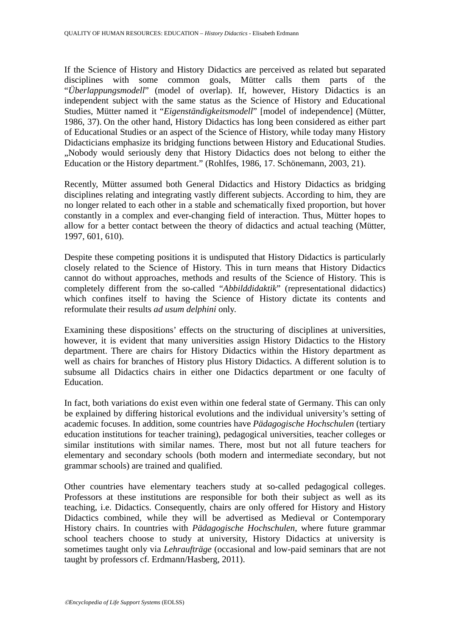If the Science of History and History Didactics are perceived as related but separated disciplines with some common goals, Mütter calls them parts of the "*Überlappungsmodell*" (model of overlap). If, however, History Didactics is an independent subject with the same status as the Science of History and Educational Studies, Mütter named it "*Eigenständigkeitsmodell*" [model of independence] (Mütter, 1986, 37). On the other hand, History Didactics has long been considered as either part of Educational Studies or an aspect of the Science of History, while today many History Didacticians emphasize its bridging functions between History and Educational Studies. "Nobody would seriously deny that History Didactics does not belong to either the Education or the History department." (Rohlfes, 1986, 17. Schönemann, 2003, 21).

Recently, Mütter assumed both General Didactics and History Didactics as bridging disciplines relating and integrating vastly different subjects. According to him, they are no longer related to each other in a stable and schematically fixed proportion, but hover constantly in a complex and ever-changing field of interaction. Thus, Mütter hopes to allow for a better contact between the theory of didactics and actual teaching (Mütter, 1997, 601, 610).

Despite these competing positions it is undisputed that History Didactics is particularly closely related to the Science of History. This in turn means that History Didactics cannot do without approaches, methods and results of the Science of History. This is completely different from the so-called "*Abbilddidaktik*" (representational didactics) which confines itself to having the Science of History dictate its contents and reformulate their results *ad usum delphini* only.

Examining these dispositions' effects on the structuring of disciplines at universities, however, it is evident that many universities assign History Didactics to the History department. There are chairs for History Didactics within the History department as well as chairs for branches of History plus History Didactics. A different solution is to subsume all Didactics chairs in either one Didactics department or one faculty of **Education** 

In fact, both variations do exist even within one federal state of Germany. This can only be explained by differing historical evolutions and the individual university's setting of academic focuses. In addition, some countries have *Pädagogische Hochschulen* (tertiary education institutions for teacher training), pedagogical universities, teacher colleges or similar institutions with similar names. There, most but not all future teachers for elementary and secondary schools (both modern and intermediate secondary, but not grammar schools) are trained and qualified.

Other countries have elementary teachers study at so-called pedagogical colleges. Professors at these institutions are responsible for both their subject as well as its teaching, i.e. Didactics. Consequently, chairs are only offered for History and History Didactics combined, while they will be advertised as Medieval or Contemporary History chairs. In countries with *Pädagogische Hochschulen*, where future grammar school teachers choose to study at university, History Didactics at university is sometimes taught only via *Lehraufträge* (occasional and low-paid seminars that are not taught by professors cf. Erdmann/Hasberg, 2011).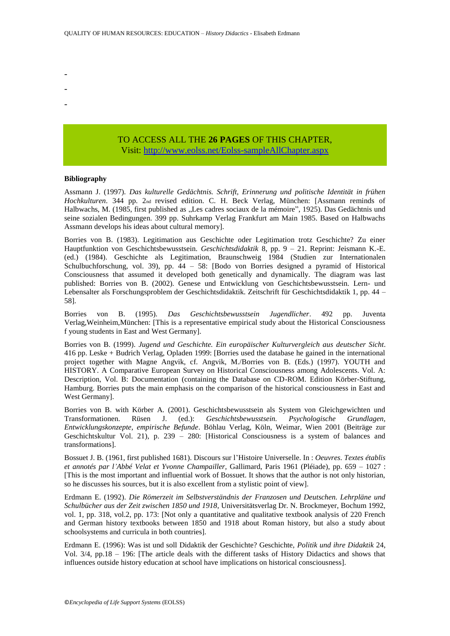- -
- -
- -

### TO ACCESS ALL THE **26 PAGES** OF THIS CHAPTER, Visit[: http://www.eolss.net/Eolss-sampleAllChapter.aspx](https://www.eolss.net/ebooklib/sc_cart.aspx?File=E1-12-90)

#### **Bibliography**

Assmann J. (1997). *Das kulturelle Gedächtnis. Schrift, Erinnerung und politische Identität in frühen Hochkulturen*. 344 pp. 2nd revised edition. C. H. Beck Verlag, München: [Assmann reminds of Halbwachs, M. (1985, first published as "Les cadres sociaux de la mémoire", 1925). Das Gedächtnis und seine sozialen Bedingungen. 399 pp. Suhrkamp Verlag Frankfurt am Main 1985. Based on Halbwachs Assmann develops his ideas about cultural memory].

Borries von B. (1983). Legitimation aus Geschichte oder Legitimation trotz Geschichte? Zu einer Hauptfunktion von Geschichtsbewusstsein. *Geschichtsdidaktik* 8, pp. 9 – 21. Reprint: Jeismann K.-E. (ed.) (1984). Geschichte als Legitimation, Braunschweig 1984 (Studien zur Internationalen Schulbuchforschung, vol. 39), pp. 44 – 58: [Bodo von Borries designed a pyramid of Historical Consciousness that assumed it developed both genetically and dynamically. The diagram was last published: Borries von B. (2002). Genese und Entwicklung von Geschichtsbewusstsein. Lern- und Lebensalter als Forschungsproblem der Geschichtsdidaktik. Zeitschrift für Geschichtsdidaktik 1, pp. 44 – 58].

Borries von B. (1995). *Das Geschichtsbewusstsein Jugendlicher*. 492 pp. Juventa Verlag,Weinheim,München: [This is a representative empirical study about the Historical Consciousness f young students in East and West Germany].

Borries von B. (1999). *Jugend und Geschichte. Ein europäischer Kulturvergleich aus deutscher Sicht*. 416 pp. Leske + Budrich Verlag, Opladen 1999: [Borries used the database he gained in the international project together with Magne Angvik, cf. Angvik, M./Borries von B. (Eds.) (1997). YOUTH and HISTORY. A Comparative European Survey on Historical Consciousness among Adolescents. Vol. A: Description, Vol. B: Documentation (containing the Database on CD-ROM. Edition Körber-Stiftung, Hamburg. Borries puts the main emphasis on the comparison of the historical consciousness in East and West Germany].

Borries von B. with Körber A. (2001). Geschichtsbewusstsein als System von Gleichgewichten und Transformationen. Rüsen J. (ed.): *Geschichtsbewusstsein. Psychologische Grundlagen, Entwicklungskonzepte, empirische Befunde*. Böhlau Verlag, Köln, Weimar, Wien 2001 (Beiträge zur Geschichtskultur Vol. 21), p. 239 – 280: [Historical Consciousness is a system of balances and transformations].

Bossuet J. B. (1961, first published 1681). Discours sur l'Histoire Universelle. In : *Oeuvres. Textes établis et annotés par l'Abbé Velat et Yvonne Champailler,* Gallimard, Paris 1961 (Pléiade), pp. 659 – 1027 : [This is the most important and influential work of Bossuet. It shows that the author is not only historian, so he discusses his sources, but it is also excellent from a stylistic point of view].

Erdmann E. (1992). *Die Römerzeit im Selbstverständnis der Franzosen und Deutschen. Lehrpläne und Schulbücher aus der Zeit zwischen 1850 und 1918*, Universitätsverlag Dr. N. Brockmeyer, Bochum 1992, vol. 1, pp. 318, vol.2, pp. 173: [Not only a quantitative and qualitative textbook analysis of 220 French and German history textbooks between 1850 and 1918 about Roman history, but also a study about schoolsystems and curricula in both countries].

Erdmann E. (1996): Was ist und soll Didaktik der Geschichte? Geschichte, *Politik und ihre Didaktik* 24, Vol. 3/4, pp.18 – 196: [The article deals with the different tasks of History Didactics and shows that influences outside history education at school have implications on historical consciousness].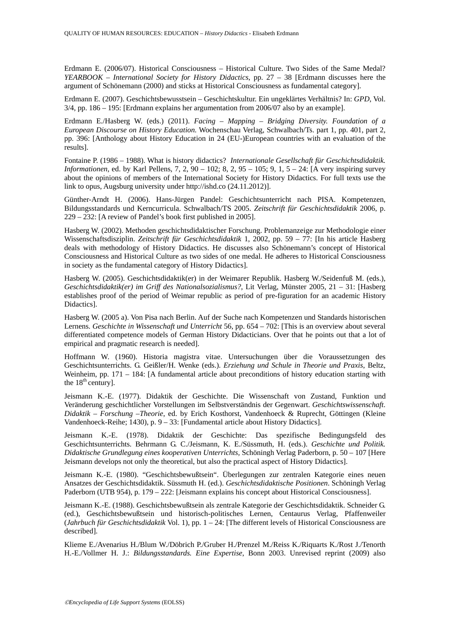Erdmann E. (2006/07). Historical Consciousness – Historical Culture. Two Sides of the Same Medal? *YEARBOOK – International Society for History Didactics*, pp. 27 – 38 [Erdmann discusses here the argument of Schönemann (2000) and sticks at Historical Consciousness as fundamental category].

Erdmann E. (2007). Geschichtsbewusstsein – Geschichtskultur. Ein ungeklärtes Verhältnis? In: *GPD*, Vol. 3/4, pp. 186 – 195: [Erdmann explains her argumentation from 2006/07 also by an example].

Erdmann E./Hasberg W. (eds.) (2011). *Facing – Mapping – Bridging Diversity. Foundation of a European Discourse on History Education.* Wochenschau Verlag, Schwalbach/Ts. part 1, pp. 401, part 2, pp. 396: [Anthology about History Education in 24 (EU-)European countries with an evaluation of the results].

Fontaine P. (1986 – 1988). What is history didactics? *Internationale Gesellschaft für Geschichtsdidaktik. Informationen*, ed. by Karl Pellens, 7, 2, 90 – 102; 8, 2, 95 – 105; 9, 1, 5 – 24: [A very inspiring survey about the opinions of members of the International Society for History Didactics. For full texts use the link to opus, Augsburg university under http://ishd.co (24.11.2012)].

Günther-Arndt H. (2006). Hans-Jürgen Pandel: Geschichtsunterricht nach PISA. Kompetenzen, Bildungsstandards und Kerncurricula. Schwalbach/TS 2005. *Zeitschrift für Geschichtsdidaktik* 2006, p. 229 – 232: [A review of Pandel's book first published in 2005].

Hasberg W. (2002). Methoden geschichtsdidaktischer Forschung. Problemanzeige zur Methodologie einer Wissenschaftsdisziplin. *Zeitschrift für Geschichtsdidaktik* 1, 2002, pp. 59 – 77: [In his article Hasberg deals with methodology of History Didactics. He discusses also Schönemann's concept of Historical Consciousness and Historical Culture as two sides of one medal. He adheres to Historical Consciousness in society as the fundamental category of History Didactics].

Hasberg W. (2005). Geschichtsdidaktik(er) in der Weimarer Republik. Hasberg W./Seidenfuß M. (eds.), *Geschichtsdidaktik(er) im Griff des Nationalsozialismus?*, Lit Verlag, Münster 2005, 21 – 31: [Hasberg establishes proof of the period of Weimar republic as period of pre-figuration for an academic History Didactics].

Hasberg W. (2005 a). Von Pisa nach Berlin. Auf der Suche nach Kompetenzen und Standards historischen Lernens. *Geschichte in Wissenschaft und Unterricht* 56, pp. 654 – 702: [This is an overview about several differentiated competence models of German History Didacticians. Over that he points out that a lot of empirical and pragmatic research is needed].

Hoffmann W. (1960). Historia magistra vitae. Untersuchungen über die Voraussetzungen des Geschichtsunterrichts. G. Geißler/H. Wenke (eds.). *Erziehung und Schule in Theorie und Praxis*, Beltz, Weinheim, pp. 171 – 184: [A fundamental article about preconditions of history education starting with the  $18<sup>th</sup>$  century].

Jeismann K.-E. (1977). Didaktik der Geschichte. Die Wissenschaft von Zustand, Funktion und Veränderung geschichtlicher Vorstellungen im Selbstverständnis der Gegenwart. *Geschichtswissenschaft*. *Didaktik – Forschung –Theorie*, ed. by Erich Kosthorst, Vandenhoeck & Ruprecht, Göttingen (Kleine Vandenhoeck-Reihe; 1430), p. 9 – 33: [Fundamental article about History Didactics].

Jeismann K.-E. (1978). Didaktik der Geschichte: Das spezifische Bedingungsfeld des Geschichtsunterrichts. Behrmann G. C./Jeismann, K. E./Süssmuth, H. (eds.). *Geschichte und Politik. Didaktische Grundlegung eines kooperativen Unterrichts,* Schöningh Verlag Paderborn, p. 50 – 107 [Here Jeismann develops not only the theoretical, but also the practical aspect of History Didactics].

Jeismann K.-E. (1980). "Geschichtsbewußtsein". Überlegungen zur zentralen Kategorie eines neuen Ansatzes der Geschichtsdidaktik. Süssmuth H. (ed.). *Geschichtsdidaktische Positionen*. Schöningh Verlag Paderborn (UTB 954), p. 179 – 222: [Jeismann explains his concept about Historical Consciousness].

Jeismann K.-E. (1988). Geschichtsbewußtsein als zentrale Kategorie der Geschichtsdidaktik. Schneider G. (ed.), Geschichtsbewußtsein und historisch-politisches Lernen, Centaurus Verlag, Pfaffenweiler (*Jahrbuch für Geschichtsdidaktik* Vol. 1), pp. 1 – 24: [The different levels of Historical Consciousness are described].

Klieme E./Avenarius H./Blum W./Döbrich P./Gruber H./Prenzel M./Reiss K./Riquarts K./Rost J./Tenorth H.-E./Vollmer H. J.: *Bildungsstandards. Eine Expertise*, Bonn 2003. Unrevised reprint (2009) also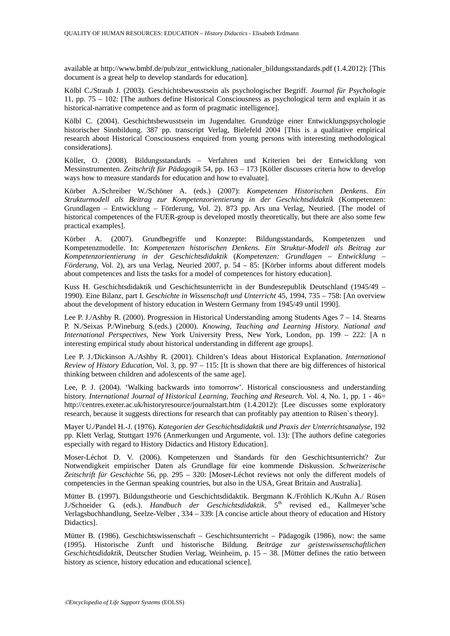available at http://www.bmbf.de/pub/zur\_entwicklung\_nationaler\_bildungsstandards.pdf (1.4.2012): [This document is a great help to develop standards for education].

Kölbl C./Straub J. (2003). Geschichtsbewusstsein als psychologischer Begriff. *Journal für Psychologie* 11, pp. 75 – 102: [The authors define Historical Consciousness as psychological term and explain it as historical-narrative competence and as form of pragmatic intelligence].

Kölbl C. (2004). Geschichtsbewusstsein im Jugendalter. Grundzüge einer Entwicklungspsychologie historischer Sinnbildung. 387 pp. transcript Verlag, Bielefeld 2004 [This is a qualitative empirical research about Historical Consciousness enquired from young persons with interesting methodological considerations].

Köller, O. (2008). Bildungsstandards – Verfahren und Kriterien bei der Entwicklung von Messinstrumenten. *Zeitschrift für Pädagogik* 54, pp. 163 – 173 [Köller discusses criteria how to develop ways how to measure standards for education and how to evaluate].

Körber A./Schreiber W./Schöner A. (eds.) (2007): *Kompetenzen Historischen Denkens. Ein Strukturmodell als Beitrag zur Kompetenzorientierung in der Geschichtsdidaktik* (Kompetenzen: Grundlagen – Entwicklung – Förderung, Vol. 2). 873 pp. Ars una Verlag, Neuried. [The model of historical competences of the FUER-group is developed mostly theoretically, but there are also some few practical examples].

Körber A. (2007). Grundbegriffe und Konzepte: Bildungsstandards, Kompetenzen und Kompetenzmodelle. In: *Kompetenzen historischen Denkens. Ein Struktur-Modell als Beitrag zur Kompetenzorientierung in der Geschichtsdidaktik* (*Kompetenzen: Grundlagen – Entwicklung – Förderung*, Vol. 2), ars una Verlag, Neuried 2007, p. 54 – 85: [Körber informs about different models about competences and lists the tasks for a model of competences for history education].

Kuss H. Geschichtsdidaktik und Geschichtsunterricht in der Bundesrepublik Deutschland (1945/49 – 1990). Eine Bilanz, part I. *Geschichte in Wissenschaft und Unterricht* 45, 1994, 735 – 758: [An overview about the development of history education in Western Germany from 1945/49 until 1990].

Lee P. J./Ashby R. (2000). Progression in Historical Understanding among Students Ages 7 – 14. Stearns P. N./Seixas P./Wineburg S.(eds.) (2000). *Knowing, Teaching and Learning History. National and International Perspectives*, New York University Press, New York, London, pp. 199 – 222: [A n interesting empirical study about historical understanding in different age groups].

Lee P. J./Dickinson A./Ashby R. (2001). Children's Ideas about Historical Explanation. *International Review of History Education*, Vol. 3, pp. 97 – 115: [It is shown that there are big differences of historical thinking between children and adolescents of the same age].

Lee, P. J. (2004). 'Walking backwards into tomorrow'. Historical consciousness and understanding history. *International Journal of Historical Learning, Teaching and Research.* Vol. 4, No. 1, pp. 1 - 46= http://centres.exeter.ac.uk/historyresource/journalstart.htm (1.4.2012): [Lee discusses some exploratory research, because it suggests directions for research that can profitably pay attention to Rüsen`s theory].

Mayer U./Pandel H.-J. (1976). *Kategorien der Geschichtsdidaktik und Praxis der Unterrichtsanalyse*, 192 pp. Klett Verlag, Stuttgart 1976 (Anmerkungen und Argumente, vol. 13): [The authors define categories especially with regard to History Didactics and History Education].

Moser-Léchot D. V. (2006). Kompetenzen und Standards für den Geschichtsunterricht? Zur Notwendigkeit empirischer Daten als Grundlage für eine kommende Diskussion. *Schweizerische Zeitschrift für Geschichte* 56, pp. 295 – 320: [Moser-Léchot reviews not only the different models of competencies in the German speaking countries, but also in the USA, Great Britain and Australia].

Mütter B. (1997). Bildungstheorie und Geschichtsdidaktik. Bergmann K./Fröhlich K./Kuhn A./ Rüsen J./Schneider G. (eds.). *Handbuch der Geschichtsdidaktik*. 5<sup>th</sup> revised ed., Kallmeyer'sche Verlagsbuchhandlung, Seelze-Velber , 334 – 339: [A concise article about theory of education and History Didactics].

Mütter B. (1986). Geschichtswissenschaft – Geschichtsunterricht – Pädagogik (1986), now: the same (1995). Historische Zunft und historische Bildung. *Beiträge zur geisteswissenschaftlichen Geschichtsdidaktik*, Deutscher Studien Verlag, Weinheim, p. 15 – 38. [Mütter defines the ratio between history as science, history education and educational science].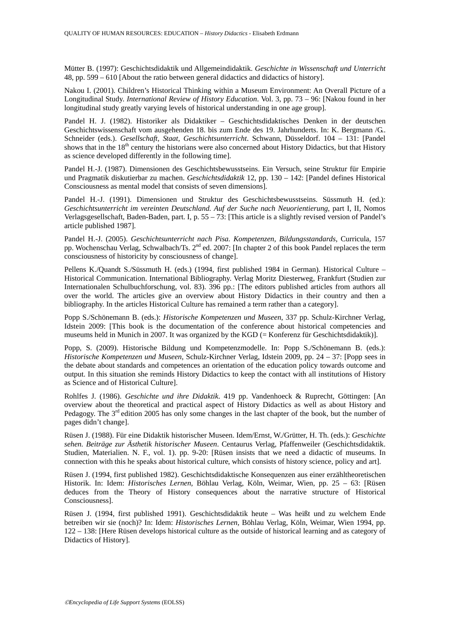Mütter B. (1997): Geschichtsdidaktik und Allgemeindidaktik. *Geschichte in Wissenschaft und Unterricht* 48, pp. 599 – 610 [About the ratio between general didactics and didactics of history].

Nakou I. (2001). Children's Historical Thinking within a Museum Environment: An Overall Picture of a Longitudinal Study. *International Review of History Education*. Vol. 3, pp. 73 – 96: [Nakou found in her longitudinal study greatly varying levels of historical understanding in one age group].

Pandel H. J. (1982). Historiker als Didaktiker – Geschichtsdidaktisches Denken in der deutschen Geschichtswissenschaft vom ausgehenden 18. bis zum Ende des 19. Jahrhunderts. In: K. Bergmann /G.. Schneider (eds.). *Gesellschaft, Staat, Geschichtsunterricht*. Schwann, Düsseldorf. 104 – 131: [Pandel shows that in the 18<sup>th</sup> century the historians were also concerned about History Didactics, but that History as science developed differently in the following time].

Pandel H.-J. (1987). Dimensionen des Geschichtsbewusstseins. Ein Versuch, seine Struktur für Empirie und Pragmatik diskutierbar zu machen. *Geschichtsdidaktik* 12, pp. 130 – 142: [Pandel defines Historical Consciousness as mental model that consists of seven dimensions].

Pandel H.-J. (1991). Dimensionen und Struktur des Geschichtsbewusstseins. Süssmuth H. (ed.): *Geschichtsunterricht im vereinten Deutschland. Auf der Suche nach Neuorientierung*, part I, II, Nomos Verlagsgesellschaft, Baden-Baden, part. I, p. 55 – 73: [This article is a slightly revised version of Pandel's article published 1987].

Pandel H.-J. (2005). *Geschichtsunterricht nach Pisa. Kompetenzen, Bildungsstandards*, Curricula, 157 pp. Wochenschau Verlag, Schwalbach/Ts. 2<sup>nd</sup> ed. 2007: [In chapter 2 of this book Pandel replaces the term consciousness of historicity by consciousness of change].

Pellens K./Quandt S./Süssmuth H. (eds.) (1994, first published 1984 in German). Historical Culture – Historical Communication. International Bibliography. Verlag Moritz Diesterweg, Frankfurt (Studien zur Internationalen Schulbuchforschung, vol. 83). 396 pp.: [The editors published articles from authors all over the world. The articles give an overview about History Didactics in their country and then a bibliography. In the articles Historical Culture has remained a term rather than a category].

Popp S./Schönemann B. (eds.): *Historische Kompetenzen und Museen*, 337 pp. Schulz-Kirchner Verlag, Idstein 2009: [This book is the documentation of the conference about historical competencies and museums held in Munich in 2007. It was organized by the KGD (= Konferenz für Geschichtsdidaktik)].

Popp, S. (2009). Historische Bildung und Kompetenzmodelle. In: Popp S./Schönemann B. (eds.): *Historische Kompetenzen und Museen*, Schulz-Kirchner Verlag, Idstein 2009, pp. 24 – 37: [Popp sees in the debate about standards and competences an orientation of the education policy towards outcome and output. In this situation she reminds History Didactics to keep the contact with all institutions of History as Science and of Historical Culture].

Rohlfes J. (1986). *Geschichte und ihre Didaktik*. 419 pp. Vandenhoeck & Ruprecht, Göttingen: [An overview about the theoretical and practical aspect of History Didactics as well as about History and Pedagogy. The 3<sup>rd</sup> edition 2005 has only some changes in the last chapter of the book, but the number of pages didn't change].

Rüsen J. (1988). Für eine Didaktik historischer Museen. Idem/Ernst, W./Grütter, H. Th. (eds.): *Geschichte sehen. Beiträge zur Ästhetik historischer Museen*. Centaurus Verlag, Pfaffenweiler (Geschichtsdidaktik. Studien, Materialien. N. F., vol. 1). pp. 9-20: [Rüsen insists that we need a didactic of museums. In connection with this he speaks about historical culture, which consists of history science, policy and art].

Rüsen J. (1994, first published 1982). Geschichtsdidaktische Konsequenzen aus einer erzähltheoretischen Historik. In: Idem: *Historisches Lernen*, Böhlau Verlag, Köln, Weimar, Wien, pp. 25 – 63: [Rüsen deduces from the Theory of History consequences about the narrative structure of Historical Consciousness].

Rüsen J. (1994, first published 1991). Geschichtsdidaktik heute – Was heißt und zu welchem Ende betreiben wir sie (noch)? In: Idem: *Historisches Lernen*, Böhlau Verlag, Köln, Weimar, Wien 1994, pp. 122 – 138: [Here Rüsen develops historical culture as the outside of historical learning and as category of Didactics of History].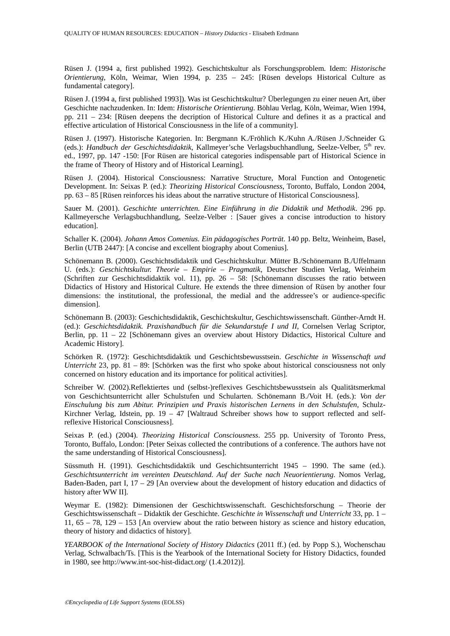Rüsen J. (1994 a, first published 1992). Geschichtskultur als Forschungsproblem. Idem: *Historische Orientierung*, Köln, Weimar, Wien 1994, p. 235 – 245: [Rüsen develops Historical Culture as fundamental category].

Rüsen J. (1994 a, first published 1993]). Was ist Geschichtskultur? Überlegungen zu einer neuen Art, über Geschichte nachzudenken. In: Idem: *Historische Orientierung*. Böhlau Verlag, Köln, Weimar, Wien 1994, pp. 211 – 234: [Rüsen deepens the decription of Historical Culture and defines it as a practical and effective articulation of Historical Consciousness in the life of a community].

Rüsen J. (1997). Historische Kategorien. In: Bergmann K./Fröhlich K./Kuhn A./Rüsen J./Schneider G. (eds.): *Handbuch der Geschichtsdidaktik*, Kallmeyer'sche Verlagsbuchhandlung, Seelze-Velber, 5<sup>th</sup> rev. ed., 1997, pp. 147 -150: [For Rüsen are historical categories indispensable part of Historical Science in the frame of Theory of History and of Historical Learning].

Rüsen J. (2004). Historical Consciousness: Narrative Structure, Moral Function and Ontogenetic Development. In: Seixas P. (ed.): *Theorizing Historical Consciousness*, Toronto, Buffalo, London 2004, pp. 63 – 85 [Rüsen reinforces his ideas about the narrative structure of Historical Consciousness].

Sauer M. (2001). *Geschichte unterrichten. Eine Einführung in die Didaktik und Methodik*. 296 pp. Kallmeyersche Verlagsbuchhandlung, Seelze-Velber : [Sauer gives a concise introduction to history education].

Schaller K. (2004). *Johann Amos Comenius. Ein pädagogisches Porträt*. 140 pp. Beltz, Weinheim, Basel, Berlin (UTB 2447): [A concise and excellent biography about Comenius].

Schönemann B. (2000). Geschichtsdidaktik und Geschichtskultur. Mütter B./Schönemann B./Uffelmann U. (eds.): *Geschichtskultur. Theorie – Empirie – Pragmatik*, Deutscher Studien Verlag, Weinheim (Schriften zur Geschichtsdidaktik vol. 11), pp.  $26 - 58$ : [Schönemann discusses the ratio between Didactics of History and Historical Culture. He extends the three dimension of Rüsen by another four dimensions: the institutional, the professional, the medial and the addressee's or audience-specific dimension].

Schönemann B. (2003): Geschichtsdidaktik, Geschichtskultur, Geschichtswissenschaft. Günther-Arndt H. (ed.): *Geschichtsdidaktik. Praxishandbuch für die Sekundarstufe I und II*, Cornelsen Verlag Scriptor, Berlin, pp. 11 – 22 [Schönemann gives an overview about History Didactics, Historical Culture and Academic History].

Schörken R. (1972): Geschichtsdidaktik und Geschichtsbewusstsein. *Geschichte in Wissenschaft und Unterricht* 23, pp. 81 – 89: [Schörken was the first who spoke about historical consciousness not only concerned on history education and its importance for political activities].

Schreiber W. (2002).Reflektiertes und (selbst-)reflexives Geschichtsbewusstsein als Qualitätsmerkmal von Geschichtsunterricht aller Schulstufen und Schularten. Schönemann B./Voit H. (eds.): *Von der Einschulung bis zum Abitur. Prinzipien und Praxis historischen Lernens in den Schulstufen*, Schulz-Kirchner Verlag, Idstein, pp.  $19 - 47$  [Waltraud Schreiber shows how to support reflected and selfreflexive Historical Consciousness].

Seixas P. (ed.) (2004). *Theorizing Historical Consciousness*. 255 pp. University of Toronto Press, Toronto, Buffalo, London: [Peter Seixas collected the contributions of a conference. The authors have not the same understanding of Historical Consciousness].

Süssmuth H. (1991). Geschichtsdidaktik und Geschichtsunterricht 1945 – 1990. The same (ed.). *Geschichtsunterricht im vereinten Deutschland. Auf der Suche nach Neuorientierung*. Nomos Verlag, Baden-Baden, part I, 17 – 29 [An overview about the development of history education and didactics of history after WW II].

Weymar E. (1982): Dimensionen der Geschichtswissenschaft. Geschichtsforschung – Theorie der Geschichtswissenschaft – Didaktik der Geschichte. *Geschichte in Wissenschaft und Unterricht* 33, pp. 1 – 11, 65 – 78, 129 – 153 [An overview about the ratio between history as science and history education, theory of history and didactics of history].

*YEARBOOK of the International Society of History Didactics* (2011 ff.) (ed. by Popp S.), Wochenschau Verlag, Schwalbach/Ts. [This is the Yearbook of the International Society for History Didactics, founded in 1980, see http://www.int-soc-hist-didact.org/ (1.4.2012)].